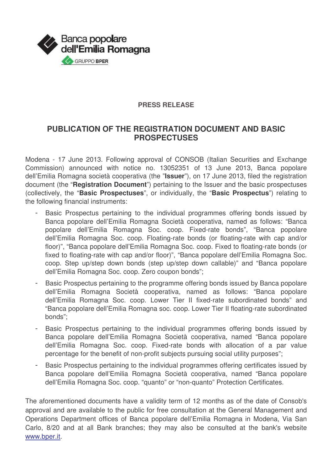

## **PRESS RELEASE**

## **PUBLICATION OF THE REGISTRATION DOCUMENT AND BASIC PROSPECTUSES**

Modena - 17 June 2013. Following approval of CONSOB (Italian Securities and Exchange Commission) announced with notice no. 13052351 of 13 June 2013, Banca popolare dell'Emilia Romagna società cooperativa (the "**Issuer**"), on 17 June 2013, filed the registration document (the "**Registration Document**") pertaining to the Issuer and the basic prospectuses (collectively, the "**Basic Prospectuses**", or individually, the "**Basic Prospectus**") relating to the following financial instruments:

- Basic Prospectus pertaining to the individual programmes offering bonds issued by Banca popolare dell'Emilia Romagna Società cooperativa, named as follows: "Banca popolare dell'Emilia Romagna Soc. coop. Fixed-rate bonds", "Banca popolare dell'Emilia Romagna Soc. coop. Floating-rate bonds (or floating-rate with cap and/or floor)", "Banca popolare dell'Emilia Romagna Soc. coop. Fixed to floating-rate bonds (or fixed to floating-rate with cap and/or floor)", "Banca popolare dell'Emilia Romagna Soc. coop. Step up/step down bonds (step up/step down callable)" and "Banca popolare dell'Emilia Romagna Soc. coop. Zero coupon bonds";
- Basic Prospectus pertaining to the programme offering bonds issued by Banca popolare dell'Emilia Romagna Società cooperativa, named as follows: "Banca popolare dell'Emilia Romagna Soc. coop. Lower Tier II fixed-rate subordinated bonds" and "Banca popolare dell'Emilia Romagna soc. coop. Lower Tier II floating-rate subordinated bonds";
- Basic Prospectus pertaining to the individual programmes offering bonds issued by Banca popolare dell'Emilia Romagna Società cooperativa, named "Banca popolare dell'Emilia Romagna Soc. coop. Fixed-rate bonds with allocation of a par value percentage for the benefit of non-profit subjects pursuing social utility purposes";
- Basic Prospectus pertaining to the individual programmes offering certificates issued by Banca popolare dell'Emilia Romagna Società cooperativa, named "Banca popolare dell'Emilia Romagna Soc. coop. "quanto" or "non-quanto" Protection Certificates.

The aforementioned documents have a validity term of 12 months as of the date of Consob's approval and are available to the public for free consultation at the General Management and Operations Department offices of Banca popolare dell'Emilia Romagna in Modena, Via San Carlo, 8/20 and at all Bank branches; they may also be consulted at the bank's website www.bper.it.